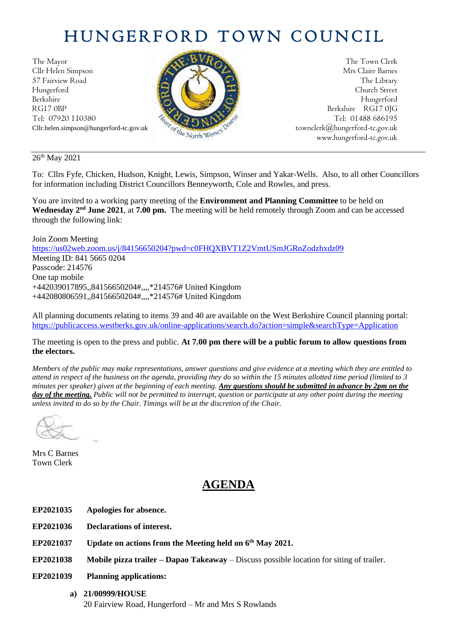# HUNGERFORD TOWN COUNCIL

The Mayor The Town Clerk Cllr Helen Simpson Mrs Claire Barnes 57 Fairview Road The Library (2004) The Library Hungerford Church Street Berkshire Hungerford RG17 0BP Berkshire RG17 0JG Tel: 07920 110380 **Tel: 07920 110380** Tel: 07920 110380



Cllr.helen.simpson@hungerford-tc.gov.uk [townclerk@hungerford-tc.gov.uk](about:blank) townclerk@hungerford-tc.gov.uk www.hungerford-tc.gov.uk [www.hungerford-tc.gov.uk](http://www.hungerford-tc.gov.uk/)

26<sup>th</sup> May 2021

To: Cllrs Fyfe, Chicken, Hudson, Knight, Lewis, Simpson, Winser and Yakar-Wells. Also, to all other Councillors for information including District Councillors Benneyworth, Cole and Rowles, and press.

You are invited to a working party meeting of the **Environment and Planning Committee** to be held on **Wednesday 2nd June 2021**, at **7.00 pm.** The meeting will be held remotely through Zoom and can be accessed through the following link:

Join Zoom Meeting <https://us02web.zoom.us/j/84156650204?pwd=c0FHQXBVT1Z2VmtUSmJGRnZodzhxdz09> Meeting ID: 841 5665 0204 Passcode: 214576 One tap mobile +442039017895,,84156650204#,,,,\*214576# United Kingdom +442080806591,,84156650204#,,,,\*214576# United Kingdom

All planning documents relating to items 39 and 40 are available on the West Berkshire Council planning portal: <https://publicaccess.westberks.gov.uk/online-applications/search.do?action=simple&searchType=Application>

The meeting is open to the press and public. **At 7.00 pm there will be a public forum to allow questions from the electors.** 

*Members of the public may make representations, answer questions and give evidence at a meeting which they are entitled to attend in respect of the business on the agenda, providing they do so within the 15 minutes allotted time period (limited to 3 minutes per speaker) given at the beginning of each meeting. Any questions should be submitted in advance by 2pm on the day of the meeting. Public will not be permitted to interrupt, question or participate at any other point during the meeting unless invited to do so by the Chair. Timings will be at the discretion of the Chair.* 

Mrs C Barnes Town Clerk

# **AGENDA**

- **EP2021035 Apologies for absence.**
- **EP2021036 Declarations of interest.**
- **EP2021037 Update on actions from the Meeting held on 6 th May 2021.**
- **EP2021038 Mobile pizza trailer – Dapao Takeaway**  Discuss possible location for siting of trailer.
- **EP2021039 Planning applications:**
	- **a) 21/00999/HOUSE** 20 Fairview Road, Hungerford – Mr and Mrs S Rowlands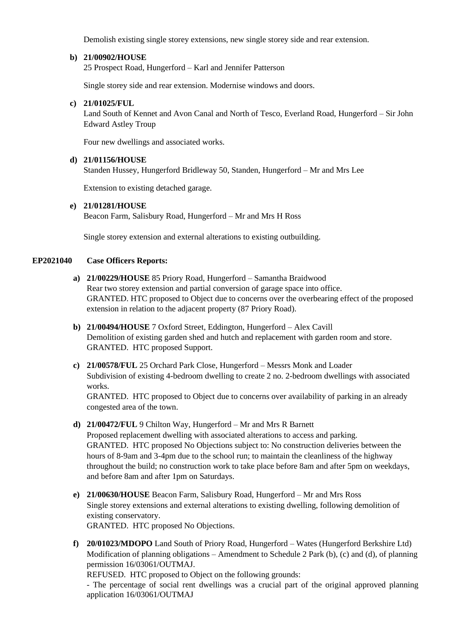Demolish existing single storey extensions, new single storey side and rear extension.

## **b) 21/00902/HOUSE**

25 Prospect Road, Hungerford – Karl and Jennifer Patterson

Single storey side and rear extension. Modernise windows and doors.

#### **c) 21/01025/FUL**

Land South of Kennet and Avon Canal and North of Tesco, Everland Road, Hungerford – Sir John Edward Astley Troup

Four new dwellings and associated works.

## **d) 21/01156/HOUSE**

Standen Hussey, Hungerford Bridleway 50, Standen, Hungerford – Mr and Mrs Lee

Extension to existing detached garage.

## **e) 21/01281/HOUSE**

Beacon Farm, Salisbury Road, Hungerford – Mr and Mrs H Ross

Single storey extension and external alterations to existing outbuilding.

# **EP2021040 Case Officers Reports:**

- **a) 21/00229/HOUSE** 85 Priory Road, Hungerford Samantha Braidwood Rear two storey extension and partial conversion of garage space into office. GRANTED. HTC proposed to Object due to concerns over the overbearing effect of the proposed extension in relation to the adjacent property (87 Priory Road).
- **b) 21/00494/HOUSE** 7 Oxford Street, Eddington, Hungerford Alex Cavill Demolition of existing garden shed and hutch and replacement with garden room and store. GRANTED. HTC proposed Support.
- **c) 21/00578/FUL** 25 Orchard Park Close, Hungerford Messrs Monk and Loader Subdivision of existing 4-bedroom dwelling to create 2 no. 2-bedroom dwellings with associated works.

GRANTED. HTC proposed to Object due to concerns over availability of parking in an already congested area of the town.

**d) 21/00472/FUL** 9 Chilton Way, Hungerford – Mr and Mrs R Barnett

Proposed replacement dwelling with associated alterations to access and parking. GRANTED. HTC proposed No Objections subject to: No construction deliveries between the hours of 8-9am and 3-4pm due to the school run; to maintain the cleanliness of the highway throughout the build; no construction work to take place before 8am and after 5pm on weekdays, and before 8am and after 1pm on Saturdays.

**e) 21/00630/HOUSE** Beacon Farm, Salisbury Road, Hungerford – Mr and Mrs Ross Single storey extensions and external alterations to existing dwelling, following demolition of existing conservatory. GRANTED. HTC proposed No Objections.

**f) 20/01023/MDOPO** Land South of Priory Road, Hungerford – Wates (Hungerford Berkshire Ltd) Modification of planning obligations – Amendment to Schedule 2 Park (b), (c) and (d), of planning permission 16/03061/OUTMAJ.

REFUSED. HTC proposed to Object on the following grounds:

- The percentage of social rent dwellings was a crucial part of the original approved planning application 16/03061/OUTMAJ